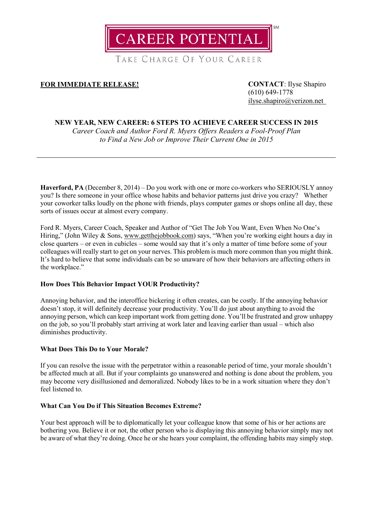

TAKE CHARGE OF YOUR CAREER

# **FOR IMMEDIATE RELEASE! CONTACT**: Ilyse Shapiro

(610) 649-1778 [ilyse.shapiro@verizon.net](mailto:ilyse.shapiro@verizon.net)

## **NEW YEAR, NEW CAREER: 6 STEPS TO ACHIEVE CAREER SUCCESS IN 2015**

*Career Coach and Author Ford R. Myers Offers Readers a Fool-Proof Plan to Find a New Job or Improve Their Current One in 2015*

**Haverford, PA** (December 8, 2014) – Do you work with one or more co-workers who SERIOUSLY annoy you? Is there someone in your office whose habits and behavior patterns just drive you crazy? Whether your coworker talks loudly on the phone with friends, plays computer games or shops online all day, these sorts of issues occur at almost every company.

Ford R. Myers, Career Coach, Speaker and Author of "Get The Job You Want, Even When No One's Hiring," (John Wiley & Sons, [www.getthejobbook.com\)](http://www.getthejobbook.com/) says, "When you're working eight hours a day in close quarters – or even in cubicles – some would say that it's only a matter of time before some of your colleagues will really start to get on your nerves. This problem is much more common than you might think. It's hard to believe that some individuals can be so unaware of how their behaviors are affecting others in the workplace."

## **How Does This Behavior Impact YOUR Productivity?**

Annoying behavior, and the interoffice bickering it often creates, can be costly. If the annoying behavior doesn't stop, it will definitely decrease your productivity. You'll do just about anything to avoid the annoying person, which can keep important work from getting done. You'll be frustrated and grow unhappy on the job, so you'll probably start arriving at work later and leaving earlier than usual – which also diminishes productivity.

## **What Does This Do to Your Morale?**

If you can resolve the issue with the perpetrator within a reasonable period of time, your morale shouldn't be affected much at all. But if your complaints go unanswered and nothing is done about the problem, you may become very disillusioned and demoralized. Nobody likes to be in a work situation where they don't feel listened to.

### **What Can You Do if This Situation Becomes Extreme?**

Your best approach will be to diplomatically let your colleague know that some of his or her actions are bothering you. Believe it or not, the other person who is displaying this annoying behavior simply may not be aware of what they're doing. Once he or she hears your complaint, the offending habits may simply stop.